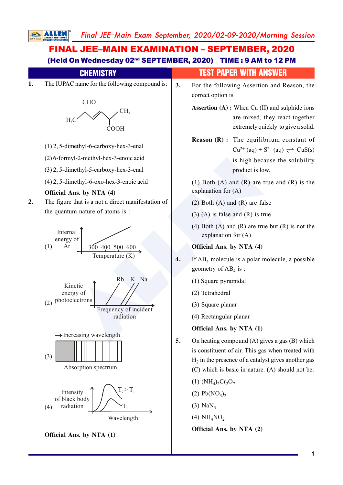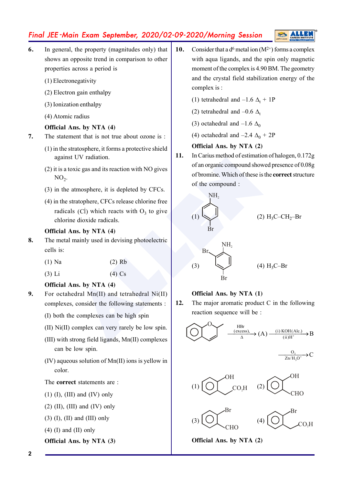

- **6.** In general, the property (magnitudes only) that shows an opposite trend in comparison to other properties across a period is
	- (1) Electronegativity
	- (2) Electron gain enthalpy
	- (3) Ionization enthalpy
	- (4) Atomic radius

## **Official Ans. by NTA (4)**

- **7.** The statement that is not true about ozone is :
	- (1) in the stratosphere, it forms a protective shield against UV radiation.
	- (2) it is a toxic gas and its reaction with NO gives  $NO<sub>2</sub>$ .
	- (3) in the atmosphere, it is depleted by CFCs.
	- (4) in the stratophere, CFCs release chlorine free radicals (Cl) which reacts with  $O_3$  to give chlorine dioxide radicals.

## **Official Ans. by NTA (4)**

- **8.** The metal mainly used in devising photoelectric cells is:
	- (1) Na (2) Rb
	- (3) Li (4) Cs

## **Official Ans. by NTA (4)**

- **9.** For octahedral Mn(II) and tetrahedral Ni(II) complexes, consider the following statements :
	- (I) both the complexes can be high spin
	- (II) Ni(II) complex can very rarely be low spin.
	- (III) with strong field ligands, Mn(II) complexes can be low spin.
	- (IV) aqueous solution of Mn(II) ions is yellow in color.

# The **correct** statements are :

- $(1)$   $(I)$ ,  $(III)$  and  $(IV)$  only
- $(2)$  (II), (III) and (IV) only
- $(3)$  (I), (II) and (III) only
- $(4)$  (I) and (II) only

## **Official Ans. by NTA (3)**

- **10.** Consider that a  $d^6$  metal ion  $(M^{2+})$  forms a complex with aqua ligands, and the spin only magnetic moment of the complex is 4.90 BM. The geometry and the crystal field stabilization energy of the complex is :
	- (1) tetrahedral and  $-1.6 \Delta_t + 1P$
	- (2) tetrahedral and  $-0.6 \Delta_t$
	- (3) octahedral and  $-1.6 \Delta_0$
	- (4) octahedral and  $-2.4 \Delta_0 + 2P$

## **Official Ans. by NTA (2)**

**11.** In Carius method of estimation of halogen, 0.172g of an organic compound showed presence of 0.08g of bromine. Which of these is the **correct** structure of the compound :



## **Official Ans. by NTA (1)**

**12.** The major aromatic product C in the following reaction sequence will be :



$$
\xrightarrow{O_3} C
$$





**Official Ans. by NTA (2)**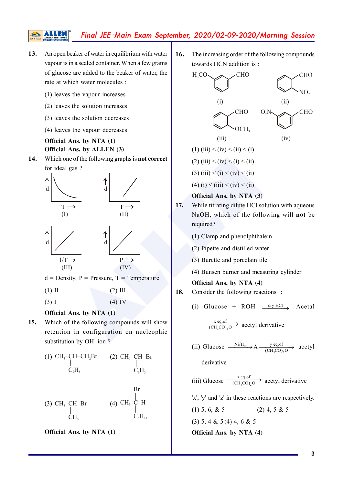- **13.** An open beaker of water in equilibrium with water vapour is in a sealed container. When a few grams of glucose are added to the beaker of water, the rate at which water molecules :
	- (1) leaves the vapour increases

S

- (2) leaves the solution increases
- (3) leaves the solution decreases
- (4) leaves the vapour decreases

# **Official Ans. by NTA (1) Official Ans. by ALLEN (3)**

**14.** Which one of the following graphs is **not correct** for ideal gas ?



 $d = Density, P = Pressure, T = Temperature$ 

 $(4)$  IV

 $(1)$  II  $(2)$  III

$$
(3) I
$$

# **Official Ans. by NTA (1)**

**15.** Which of the following compounds will show retention in configuration on nucleophic substitution by OH<sup>-</sup>ion?



**Official Ans. by NTA (1)**

**16.** The increasing order of the following compounds towards HCN addition is :



- **17.** While titrating dilute HCl solution with aqueous NaOH, which of the following will **not** be required?
	- (1) Clamp and phenolphthalein
	- (2) Pipette and distilled water
	- (3) Burette and porcelain tile
	- (4) Bunsen burner and measuring cylinder

## **Official Ans. by NTA (4)**

- **18.** Consider the following reactions :
	- (i) Glucose + ROH  $\frac{dry HCl}{\longrightarrow}$  Acetal

 $\frac{x \text{ eq. of}}{(CH_3CO)_2O}$  acetyl derivative

(ii) Glucose  $\frac{N1/H_2}{2}$  $3$   $\cup$   $\cup$   $\frac{1}{2}$  $\frac{Ni/H_2}{(CH_3CO)_2O}$  acetyl

derivative

(iii) Glucose  $\frac{z \text{ eq. of}}{(\text{CH}_3\text{CO})_2\text{O}}$  acetyl derivative

'x', 'y' and 'z' in these reactions are respectively.

(1) 5, 6, & 5 (2) 4, 5 & 5 (3) 5, 4 & 5 (4) 4, 6 & 5 **Official Ans. by NTA (4)**